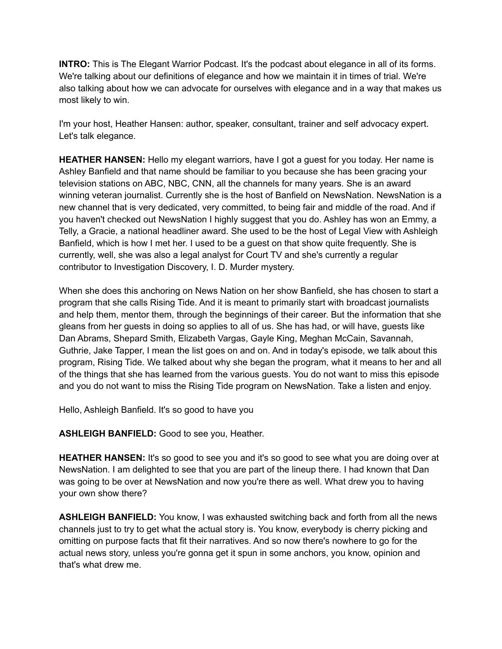**INTRO:** This is The Elegant Warrior Podcast. It's the podcast about elegance in all of its forms. We're talking about our definitions of elegance and how we maintain it in times of trial. We're also talking about how we can advocate for ourselves with elegance and in a way that makes us most likely to win.

I'm your host, Heather Hansen: author, speaker, consultant, trainer and self advocacy expert. Let's talk elegance.

**HEATHER HANSEN:** Hello my elegant warriors, have I got a guest for you today. Her name is Ashley Banfield and that name should be familiar to you because she has been gracing your television stations on ABC, NBC, CNN, all the channels for many years. She is an award winning veteran journalist. Currently she is the host of Banfield on NewsNation. NewsNation is a new channel that is very dedicated, very committed, to being fair and middle of the road. And if you haven't checked out NewsNation I highly suggest that you do. Ashley has won an Emmy, a Telly, a Gracie, a national headliner award. She used to be the host of Legal View with Ashleigh Banfield, which is how I met her. I used to be a guest on that show quite frequently. She is currently, well, she was also a legal analyst for Court TV and she's currently a regular contributor to Investigation Discovery, I. D. Murder mystery.

When she does this anchoring on News Nation on her show Banfield, she has chosen to start a program that she calls Rising Tide. And it is meant to primarily start with broadcast journalists and help them, mentor them, through the beginnings of their career. But the information that she gleans from her guests in doing so applies to all of us. She has had, or will have, guests like Dan Abrams, Shepard Smith, Elizabeth Vargas, Gayle King, Meghan McCain, Savannah, Guthrie, Jake Tapper, I mean the list goes on and on. And in today's episode, we talk about this program, Rising Tide. We talked about why she began the program, what it means to her and all of the things that she has learned from the various guests. You do not want to miss this episode and you do not want to miss the Rising Tide program on NewsNation. Take a listen and enjoy.

Hello, Ashleigh Banfield. It's so good to have you

**ASHLEIGH BANFIELD:** Good to see you, Heather.

**HEATHER HANSEN:** It's so good to see you and it's so good to see what you are doing over at NewsNation. I am delighted to see that you are part of the lineup there. I had known that Dan was going to be over at NewsNation and now you're there as well. What drew you to having your own show there?

**ASHLEIGH BANFIELD:** You know, I was exhausted switching back and forth from all the news channels just to try to get what the actual story is. You know, everybody is cherry picking and omitting on purpose facts that fit their narratives. And so now there's nowhere to go for the actual news story, unless you're gonna get it spun in some anchors, you know, opinion and that's what drew me.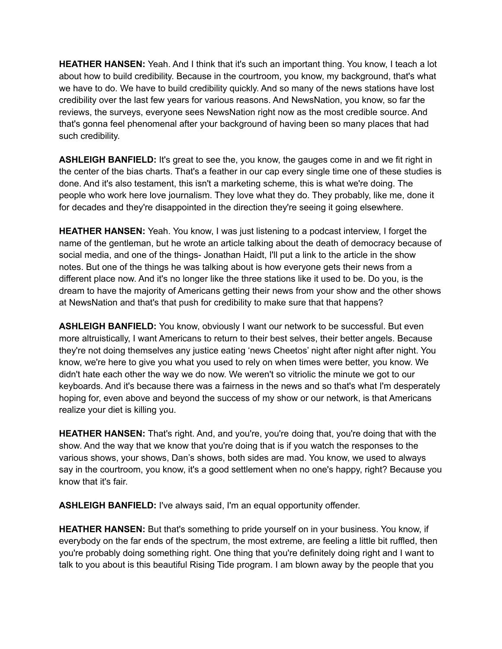**HEATHER HANSEN:** Yeah. And I think that it's such an important thing. You know, I teach a lot about how to build credibility. Because in the courtroom, you know, my background, that's what we have to do. We have to build credibility quickly. And so many of the news stations have lost credibility over the last few years for various reasons. And NewsNation, you know, so far the reviews, the surveys, everyone sees NewsNation right now as the most credible source. And that's gonna feel phenomenal after your background of having been so many places that had such credibility.

**ASHLEIGH BANFIELD:** It's great to see the, you know, the gauges come in and we fit right in the center of the bias charts. That's a feather in our cap every single time one of these studies is done. And it's also testament, this isn't a marketing scheme, this is what we're doing. The people who work here love journalism. They love what they do. They probably, like me, done it for decades and they're disappointed in the direction they're seeing it going elsewhere.

**HEATHER HANSEN:** Yeah. You know, I was just listening to a podcast interview, I forget the name of the gentleman, but he wrote an article talking about the death of democracy because of social media, and one of the things- Jonathan Haidt, I'll put a link to the article in the show notes. But one of the things he was talking about is how everyone gets their news from a different place now. And it's no longer like the three stations like it used to be. Do you, is the dream to have the majority of Americans getting their news from your show and the other shows at NewsNation and that's that push for credibility to make sure that that happens?

**ASHLEIGH BANFIELD:** You know, obviously I want our network to be successful. But even more altruistically, I want Americans to return to their best selves, their better angels. Because they're not doing themselves any justice eating 'news Cheetos' night after night after night. You know, we're here to give you what you used to rely on when times were better, you know. We didn't hate each other the way we do now. We weren't so vitriolic the minute we got to our keyboards. And it's because there was a fairness in the news and so that's what I'm desperately hoping for, even above and beyond the success of my show or our network, is that Americans realize your diet is killing you.

**HEATHER HANSEN:** That's right. And, and you're, you're doing that, you're doing that with the show. And the way that we know that you're doing that is if you watch the responses to the various shows, your shows, Dan's shows, both sides are mad. You know, we used to always say in the courtroom, you know, it's a good settlement when no one's happy, right? Because you know that it's fair.

**ASHLEIGH BANFIELD:** I've always said, I'm an equal opportunity offender.

**HEATHER HANSEN:** But that's something to pride yourself on in your business. You know, if everybody on the far ends of the spectrum, the most extreme, are feeling a little bit ruffled, then you're probably doing something right. One thing that you're definitely doing right and I want to talk to you about is this beautiful Rising Tide program. I am blown away by the people that you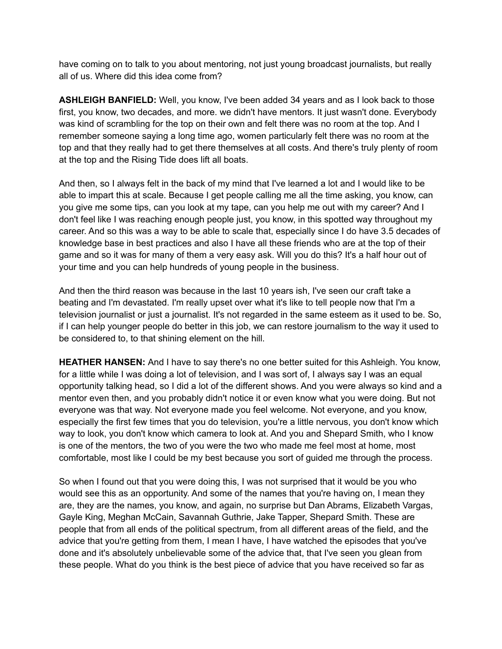have coming on to talk to you about mentoring, not just young broadcast journalists, but really all of us. Where did this idea come from?

**ASHLEIGH BANFIELD:** Well, you know, I've been added 34 years and as I look back to those first, you know, two decades, and more. we didn't have mentors. It just wasn't done. Everybody was kind of scrambling for the top on their own and felt there was no room at the top. And I remember someone saying a long time ago, women particularly felt there was no room at the top and that they really had to get there themselves at all costs. And there's truly plenty of room at the top and the Rising Tide does lift all boats.

And then, so I always felt in the back of my mind that I've learned a lot and I would like to be able to impart this at scale. Because I get people calling me all the time asking, you know, can you give me some tips, can you look at my tape, can you help me out with my career? And I don't feel like I was reaching enough people just, you know, in this spotted way throughout my career. And so this was a way to be able to scale that, especially since I do have 3.5 decades of knowledge base in best practices and also I have all these friends who are at the top of their game and so it was for many of them a very easy ask. Will you do this? It's a half hour out of your time and you can help hundreds of young people in the business.

And then the third reason was because in the last 10 years ish, I've seen our craft take a beating and I'm devastated. I'm really upset over what it's like to tell people now that I'm a television journalist or just a journalist. It's not regarded in the same esteem as it used to be. So, if I can help younger people do better in this job, we can restore journalism to the way it used to be considered to, to that shining element on the hill.

**HEATHER HANSEN:** And I have to say there's no one better suited for this Ashleigh. You know, for a little while I was doing a lot of television, and I was sort of, I always say I was an equal opportunity talking head, so I did a lot of the different shows. And you were always so kind and a mentor even then, and you probably didn't notice it or even know what you were doing. But not everyone was that way. Not everyone made you feel welcome. Not everyone, and you know, especially the first few times that you do television, you're a little nervous, you don't know which way to look, you don't know which camera to look at. And you and Shepard Smith, who I know is one of the mentors, the two of you were the two who made me feel most at home, most comfortable, most like I could be my best because you sort of guided me through the process.

So when I found out that you were doing this, I was not surprised that it would be you who would see this as an opportunity. And some of the names that you're having on, I mean they are, they are the names, you know, and again, no surprise but Dan Abrams, Elizabeth Vargas, Gayle King, Meghan McCain, Savannah Guthrie, Jake Tapper, Shepard Smith. These are people that from all ends of the political spectrum, from all different areas of the field, and the advice that you're getting from them, I mean I have, I have watched the episodes that you've done and it's absolutely unbelievable some of the advice that, that I've seen you glean from these people. What do you think is the best piece of advice that you have received so far as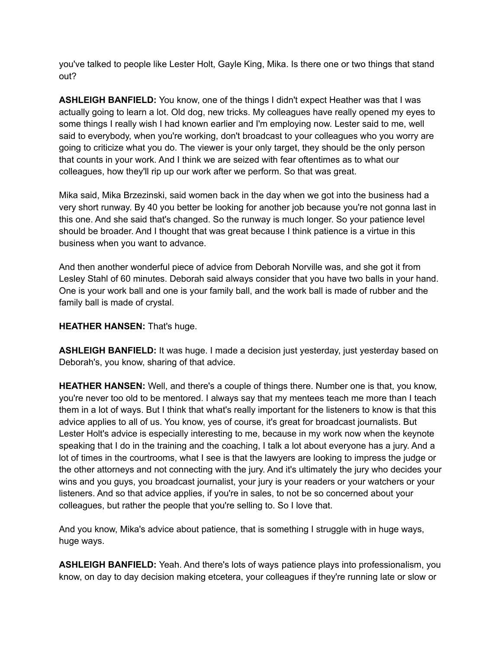you've talked to people like Lester Holt, Gayle King, Mika. Is there one or two things that stand out?

**ASHLEIGH BANFIELD:** You know, one of the things I didn't expect Heather was that I was actually going to learn a lot. Old dog, new tricks. My colleagues have really opened my eyes to some things I really wish I had known earlier and I'm employing now. Lester said to me, well said to everybody, when you're working, don't broadcast to your colleagues who you worry are going to criticize what you do. The viewer is your only target, they should be the only person that counts in your work. And I think we are seized with fear oftentimes as to what our colleagues, how they'll rip up our work after we perform. So that was great.

Mika said, Mika Brzezinski, said women back in the day when we got into the business had a very short runway. By 40 you better be looking for another job because you're not gonna last in this one. And she said that's changed. So the runway is much longer. So your patience level should be broader. And I thought that was great because I think patience is a virtue in this business when you want to advance.

And then another wonderful piece of advice from Deborah Norville was, and she got it from Lesley Stahl of 60 minutes. Deborah said always consider that you have two balls in your hand. One is your work ball and one is your family ball, and the work ball is made of rubber and the family ball is made of crystal.

## **HEATHER HANSEN:** That's huge.

**ASHLEIGH BANFIELD:** It was huge. I made a decision just yesterday, just yesterday based on Deborah's, you know, sharing of that advice.

**HEATHER HANSEN:** Well, and there's a couple of things there. Number one is that, you know, you're never too old to be mentored. I always say that my mentees teach me more than I teach them in a lot of ways. But I think that what's really important for the listeners to know is that this advice applies to all of us. You know, yes of course, it's great for broadcast journalists. But Lester Holt's advice is especially interesting to me, because in my work now when the keynote speaking that I do in the training and the coaching, I talk a lot about everyone has a jury. And a lot of times in the courtrooms, what I see is that the lawyers are looking to impress the judge or the other attorneys and not connecting with the jury. And it's ultimately the jury who decides your wins and you guys, you broadcast journalist, your jury is your readers or your watchers or your listeners. And so that advice applies, if you're in sales, to not be so concerned about your colleagues, but rather the people that you're selling to. So I love that.

And you know, Mika's advice about patience, that is something I struggle with in huge ways, huge ways.

**ASHLEIGH BANFIELD:** Yeah. And there's lots of ways patience plays into professionalism, you know, on day to day decision making etcetera, your colleagues if they're running late or slow or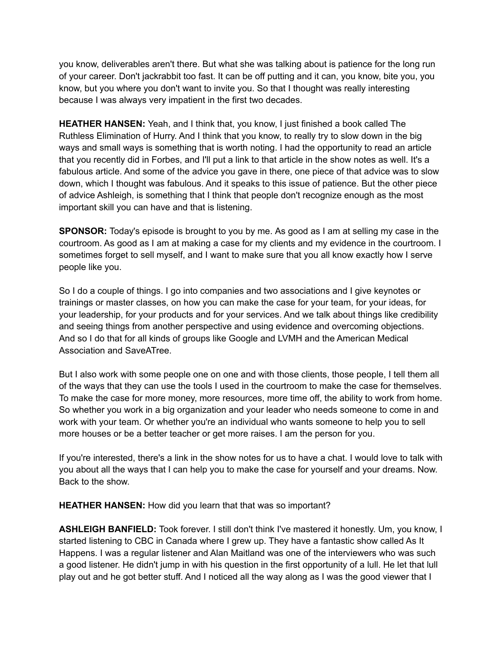you know, deliverables aren't there. But what she was talking about is patience for the long run of your career. Don't jackrabbit too fast. It can be off putting and it can, you know, bite you, you know, but you where you don't want to invite you. So that I thought was really interesting because I was always very impatient in the first two decades.

**HEATHER HANSEN:** Yeah, and I think that, you know, I just finished a book called The Ruthless Elimination of Hurry. And I think that you know, to really try to slow down in the big ways and small ways is something that is worth noting. I had the opportunity to read an article that you recently did in Forbes, and I'll put a link to that article in the show notes as well. It's a fabulous article. And some of the advice you gave in there, one piece of that advice was to slow down, which I thought was fabulous. And it speaks to this issue of patience. But the other piece of advice Ashleigh, is something that I think that people don't recognize enough as the most important skill you can have and that is listening.

**SPONSOR:** Today's episode is brought to you by me. As good as I am at selling my case in the courtroom. As good as I am at making a case for my clients and my evidence in the courtroom. I sometimes forget to sell myself, and I want to make sure that you all know exactly how I serve people like you.

So I do a couple of things. I go into companies and two associations and I give keynotes or trainings or master classes, on how you can make the case for your team, for your ideas, for your leadership, for your products and for your services. And we talk about things like credibility and seeing things from another perspective and using evidence and overcoming objections. And so I do that for all kinds of groups like Google and LVMH and the American Medical Association and SaveATree.

But I also work with some people one on one and with those clients, those people, I tell them all of the ways that they can use the tools I used in the courtroom to make the case for themselves. To make the case for more money, more resources, more time off, the ability to work from home. So whether you work in a big organization and your leader who needs someone to come in and work with your team. Or whether you're an individual who wants someone to help you to sell more houses or be a better teacher or get more raises. I am the person for you.

If you're interested, there's a link in the show notes for us to have a chat. I would love to talk with you about all the ways that I can help you to make the case for yourself and your dreams. Now. Back to the show.

**HEATHER HANSEN:** How did you learn that that was so important?

**ASHLEIGH BANFIELD:** Took forever. I still don't think I've mastered it honestly. Um, you know, I started listening to CBC in Canada where I grew up. They have a fantastic show called As It Happens. I was a regular listener and Alan Maitland was one of the interviewers who was such a good listener. He didn't jump in with his question in the first opportunity of a lull. He let that lull play out and he got better stuff. And I noticed all the way along as I was the good viewer that I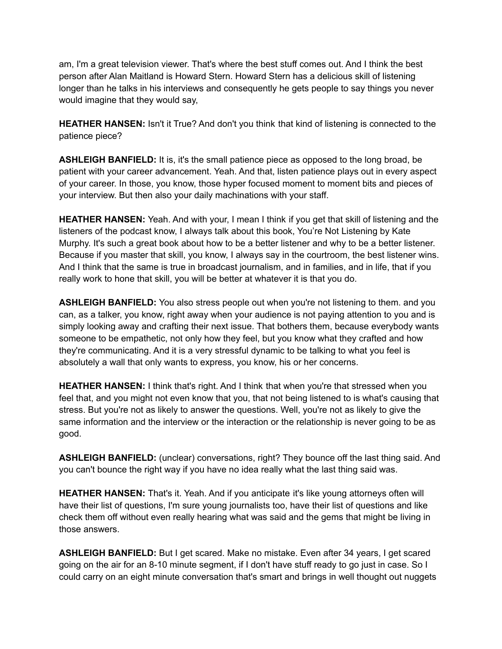am, I'm a great television viewer. That's where the best stuff comes out. And I think the best person after Alan Maitland is Howard Stern. Howard Stern has a delicious skill of listening longer than he talks in his interviews and consequently he gets people to say things you never would imagine that they would say,

**HEATHER HANSEN:** Isn't it True? And don't you think that kind of listening is connected to the patience piece?

**ASHLEIGH BANFIELD:** It is, it's the small patience piece as opposed to the long broad, be patient with your career advancement. Yeah. And that, listen patience plays out in every aspect of your career. In those, you know, those hyper focused moment to moment bits and pieces of your interview. But then also your daily machinations with your staff.

**HEATHER HANSEN:** Yeah. And with your, I mean I think if you get that skill of listening and the listeners of the podcast know, I always talk about this book, You're Not Listening by Kate Murphy. It's such a great book about how to be a better listener and why to be a better listener. Because if you master that skill, you know, I always say in the courtroom, the best listener wins. And I think that the same is true in broadcast journalism, and in families, and in life, that if you really work to hone that skill, you will be better at whatever it is that you do.

**ASHLEIGH BANFIELD:** You also stress people out when you're not listening to them. and you can, as a talker, you know, right away when your audience is not paying attention to you and is simply looking away and crafting their next issue. That bothers them, because everybody wants someone to be empathetic, not only how they feel, but you know what they crafted and how they're communicating. And it is a very stressful dynamic to be talking to what you feel is absolutely a wall that only wants to express, you know, his or her concerns.

**HEATHER HANSEN:** I think that's right. And I think that when you're that stressed when you feel that, and you might not even know that you, that not being listened to is what's causing that stress. But you're not as likely to answer the questions. Well, you're not as likely to give the same information and the interview or the interaction or the relationship is never going to be as good.

**ASHLEIGH BANFIELD:** (unclear) conversations, right? They bounce off the last thing said. And you can't bounce the right way if you have no idea really what the last thing said was.

**HEATHER HANSEN:** That's it. Yeah. And if you anticipate it's like young attorneys often will have their list of questions, I'm sure young journalists too, have their list of questions and like check them off without even really hearing what was said and the gems that might be living in those answers.

**ASHLEIGH BANFIELD:** But I get scared. Make no mistake. Even after 34 years, I get scared going on the air for an 8-10 minute segment, if I don't have stuff ready to go just in case. So I could carry on an eight minute conversation that's smart and brings in well thought out nuggets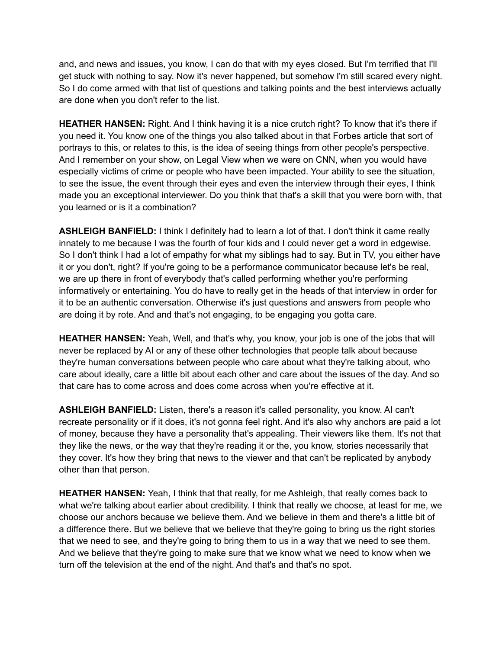and, and news and issues, you know, I can do that with my eyes closed. But I'm terrified that I'll get stuck with nothing to say. Now it's never happened, but somehow I'm still scared every night. So I do come armed with that list of questions and talking points and the best interviews actually are done when you don't refer to the list.

**HEATHER HANSEN:** Right. And I think having it is a nice crutch right? To know that it's there if you need it. You know one of the things you also talked about in that Forbes article that sort of portrays to this, or relates to this, is the idea of seeing things from other people's perspective. And I remember on your show, on Legal View when we were on CNN, when you would have especially victims of crime or people who have been impacted. Your ability to see the situation, to see the issue, the event through their eyes and even the interview through their eyes, I think made you an exceptional interviewer. Do you think that that's a skill that you were born with, that you learned or is it a combination?

**ASHLEIGH BANFIELD:** I think I definitely had to learn a lot of that. I don't think it came really innately to me because I was the fourth of four kids and I could never get a word in edgewise. So I don't think I had a lot of empathy for what my siblings had to say. But in TV, you either have it or you don't, right? If you're going to be a performance communicator because let's be real, we are up there in front of everybody that's called performing whether you're performing informatively or entertaining. You do have to really get in the heads of that interview in order for it to be an authentic conversation. Otherwise it's just questions and answers from people who are doing it by rote. And and that's not engaging, to be engaging you gotta care.

**HEATHER HANSEN:** Yeah, Well, and that's why, you know, your job is one of the jobs that will never be replaced by AI or any of these other technologies that people talk about because they're human conversations between people who care about what they're talking about, who care about ideally, care a little bit about each other and care about the issues of the day. And so that care has to come across and does come across when you're effective at it.

**ASHLEIGH BANFIELD:** Listen, there's a reason it's called personality, you know. AI can't recreate personality or if it does, it's not gonna feel right. And it's also why anchors are paid a lot of money, because they have a personality that's appealing. Their viewers like them. It's not that they like the news, or the way that they're reading it or the, you know, stories necessarily that they cover. It's how they bring that news to the viewer and that can't be replicated by anybody other than that person.

**HEATHER HANSEN:** Yeah, I think that that really, for me Ashleigh, that really comes back to what we're talking about earlier about credibility. I think that really we choose, at least for me, we choose our anchors because we believe them. And we believe in them and there's a little bit of a difference there. But we believe that we believe that they're going to bring us the right stories that we need to see, and they're going to bring them to us in a way that we need to see them. And we believe that they're going to make sure that we know what we need to know when we turn off the television at the end of the night. And that's and that's no spot.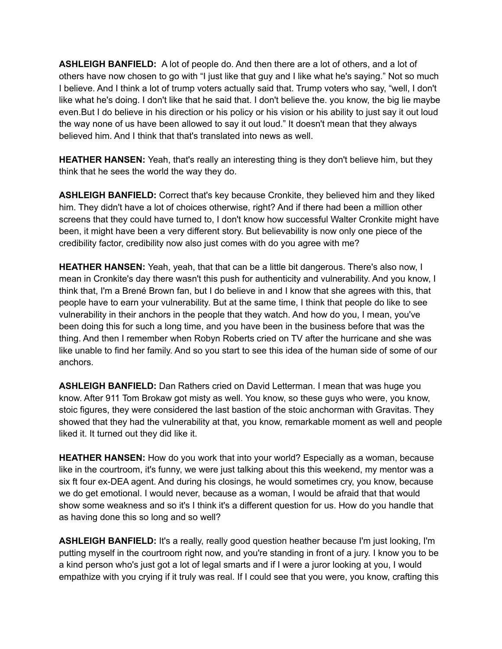**ASHLEIGH BANFIELD:** A lot of people do. And then there are a lot of others, and a lot of others have now chosen to go with "I just like that guy and I like what he's saying." Not so much I believe. And I think a lot of trump voters actually said that. Trump voters who say, "well, I don't like what he's doing. I don't like that he said that. I don't believe the. you know, the big lie maybe even.But I do believe in his direction or his policy or his vision or his ability to just say it out loud the way none of us have been allowed to say it out loud." It doesn't mean that they always believed him. And I think that that's translated into news as well.

**HEATHER HANSEN:** Yeah, that's really an interesting thing is they don't believe him, but they think that he sees the world the way they do.

**ASHLEIGH BANFIELD:** Correct that's key because Cronkite, they believed him and they liked him. They didn't have a lot of choices otherwise, right? And if there had been a million other screens that they could have turned to, I don't know how successful Walter Cronkite might have been, it might have been a very different story. But believability is now only one piece of the credibility factor, credibility now also just comes with do you agree with me?

**HEATHER HANSEN:** Yeah, yeah, that that can be a little bit dangerous. There's also now, I mean in Cronkite's day there wasn't this push for authenticity and vulnerability. And you know, I think that, I'm a Brené Brown fan, but I do believe in and I know that she agrees with this, that people have to earn your vulnerability. But at the same time, I think that people do like to see vulnerability in their anchors in the people that they watch. And how do you, I mean, you've been doing this for such a long time, and you have been in the business before that was the thing. And then I remember when Robyn Roberts cried on TV after the hurricane and she was like unable to find her family. And so you start to see this idea of the human side of some of our anchors.

**ASHLEIGH BANFIELD:** Dan Rathers cried on David Letterman. I mean that was huge you know. After 911 Tom Brokaw got misty as well. You know, so these guys who were, you know, stoic figures, they were considered the last bastion of the stoic anchorman with Gravitas. They showed that they had the vulnerability at that, you know, remarkable moment as well and people liked it. It turned out they did like it.

**HEATHER HANSEN:** How do you work that into your world? Especially as a woman, because like in the courtroom, it's funny, we were just talking about this this weekend, my mentor was a six ft four ex-DEA agent. And during his closings, he would sometimes cry, you know, because we do get emotional. I would never, because as a woman, I would be afraid that that would show some weakness and so it's I think it's a different question for us. How do you handle that as having done this so long and so well?

**ASHLEIGH BANFIELD:** It's a really, really good question heather because I'm just looking, I'm putting myself in the courtroom right now, and you're standing in front of a jury. I know you to be a kind person who's just got a lot of legal smarts and if I were a juror looking at you, I would empathize with you crying if it truly was real. If I could see that you were, you know, crafting this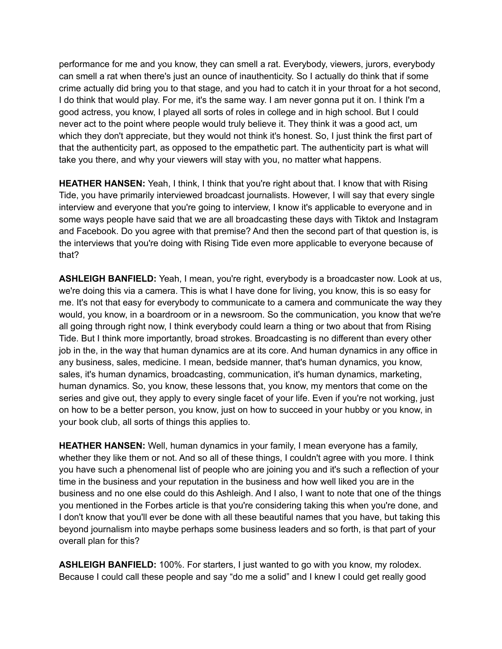performance for me and you know, they can smell a rat. Everybody, viewers, jurors, everybody can smell a rat when there's just an ounce of inauthenticity. So I actually do think that if some crime actually did bring you to that stage, and you had to catch it in your throat for a hot second, I do think that would play. For me, it's the same way. I am never gonna put it on. I think I'm a good actress, you know, I played all sorts of roles in college and in high school. But I could never act to the point where people would truly believe it. They think it was a good act, um which they don't appreciate, but they would not think it's honest. So, I just think the first part of that the authenticity part, as opposed to the empathetic part. The authenticity part is what will take you there, and why your viewers will stay with you, no matter what happens.

**HEATHER HANSEN:** Yeah, I think, I think that you're right about that. I know that with Rising Tide, you have primarily interviewed broadcast journalists. However, I will say that every single interview and everyone that you're going to interview, I know it's applicable to everyone and in some ways people have said that we are all broadcasting these days with Tiktok and Instagram and Facebook. Do you agree with that premise? And then the second part of that question is, is the interviews that you're doing with Rising Tide even more applicable to everyone because of that?

**ASHLEIGH BANFIELD:** Yeah, I mean, you're right, everybody is a broadcaster now. Look at us, we're doing this via a camera. This is what I have done for living, you know, this is so easy for me. It's not that easy for everybody to communicate to a camera and communicate the way they would, you know, in a boardroom or in a newsroom. So the communication, you know that we're all going through right now, I think everybody could learn a thing or two about that from Rising Tide. But I think more importantly, broad strokes. Broadcasting is no different than every other job in the, in the way that human dynamics are at its core. And human dynamics in any office in any business, sales, medicine. I mean, bedside manner, that's human dynamics, you know, sales, it's human dynamics, broadcasting, communication, it's human dynamics, marketing, human dynamics. So, you know, these lessons that, you know, my mentors that come on the series and give out, they apply to every single facet of your life. Even if you're not working, just on how to be a better person, you know, just on how to succeed in your hubby or you know, in your book club, all sorts of things this applies to.

**HEATHER HANSEN:** Well, human dynamics in your family, I mean everyone has a family, whether they like them or not. And so all of these things, I couldn't agree with you more. I think you have such a phenomenal list of people who are joining you and it's such a reflection of your time in the business and your reputation in the business and how well liked you are in the business and no one else could do this Ashleigh. And I also, I want to note that one of the things you mentioned in the Forbes article is that you're considering taking this when you're done, and I don't know that you'll ever be done with all these beautiful names that you have, but taking this beyond journalism into maybe perhaps some business leaders and so forth, is that part of your overall plan for this?

**ASHLEIGH BANFIELD:** 100%. For starters, I just wanted to go with you know, my rolodex. Because I could call these people and say "do me a solid" and I knew I could get really good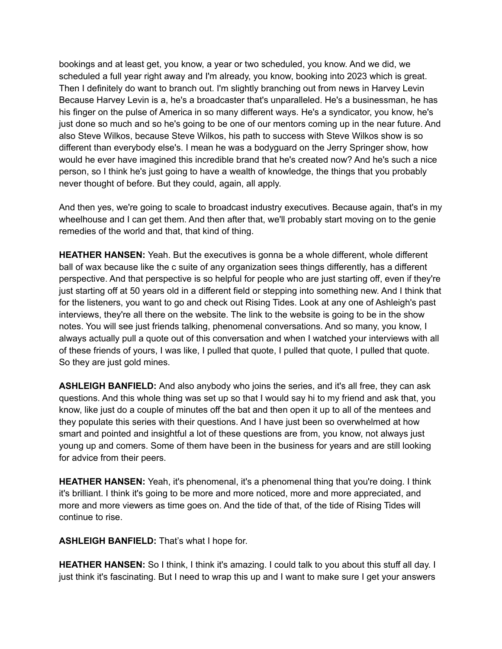bookings and at least get, you know, a year or two scheduled, you know. And we did, we scheduled a full year right away and I'm already, you know, booking into 2023 which is great. Then I definitely do want to branch out. I'm slightly branching out from news in Harvey Levin Because Harvey Levin is a, he's a broadcaster that's unparalleled. He's a businessman, he has his finger on the pulse of America in so many different ways. He's a syndicator, you know, he's just done so much and so he's going to be one of our mentors coming up in the near future. And also Steve Wilkos, because Steve Wilkos, his path to success with Steve Wilkos show is so different than everybody else's. I mean he was a bodyguard on the Jerry Springer show, how would he ever have imagined this incredible brand that he's created now? And he's such a nice person, so I think he's just going to have a wealth of knowledge, the things that you probably never thought of before. But they could, again, all apply.

And then yes, we're going to scale to broadcast industry executives. Because again, that's in my wheelhouse and I can get them. And then after that, we'll probably start moving on to the genie remedies of the world and that, that kind of thing.

**HEATHER HANSEN:** Yeah. But the executives is gonna be a whole different, whole different ball of wax because like the c suite of any organization sees things differently, has a different perspective. And that perspective is so helpful for people who are just starting off, even if they're just starting off at 50 years old in a different field or stepping into something new. And I think that for the listeners, you want to go and check out Rising Tides. Look at any one of Ashleigh's past interviews, they're all there on the website. The link to the website is going to be in the show notes. You will see just friends talking, phenomenal conversations. And so many, you know, I always actually pull a quote out of this conversation and when I watched your interviews with all of these friends of yours, I was like, I pulled that quote, I pulled that quote, I pulled that quote. So they are just gold mines.

**ASHLEIGH BANFIELD:** And also anybody who joins the series, and it's all free, they can ask questions. And this whole thing was set up so that I would say hi to my friend and ask that, you know, like just do a couple of minutes off the bat and then open it up to all of the mentees and they populate this series with their questions. And I have just been so overwhelmed at how smart and pointed and insightful a lot of these questions are from, you know, not always just young up and comers. Some of them have been in the business for years and are still looking for advice from their peers.

**HEATHER HANSEN:** Yeah, it's phenomenal, it's a phenomenal thing that you're doing. I think it's brilliant. I think it's going to be more and more noticed, more and more appreciated, and more and more viewers as time goes on. And the tide of that, of the tide of Rising Tides will continue to rise.

**ASHLEIGH BANFIELD:** That's what I hope for.

**HEATHER HANSEN:** So I think, I think it's amazing. I could talk to you about this stuff all day. I just think it's fascinating. But I need to wrap this up and I want to make sure I get your answers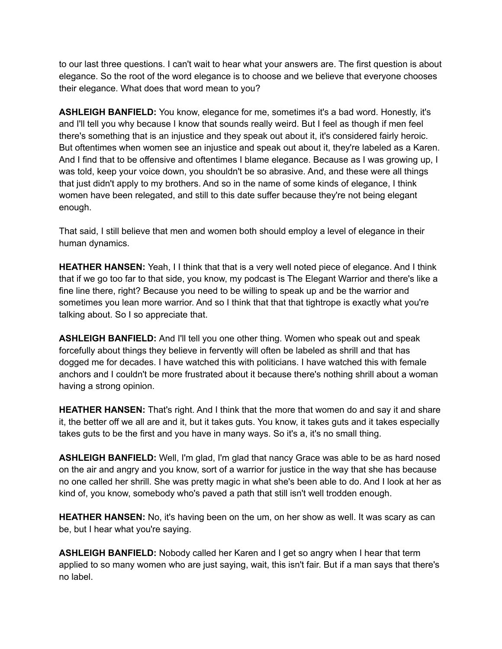to our last three questions. I can't wait to hear what your answers are. The first question is about elegance. So the root of the word elegance is to choose and we believe that everyone chooses their elegance. What does that word mean to you?

**ASHLEIGH BANFIELD:** You know, elegance for me, sometimes it's a bad word. Honestly, it's and I'll tell you why because I know that sounds really weird. But I feel as though if men feel there's something that is an injustice and they speak out about it, it's considered fairly heroic. But oftentimes when women see an injustice and speak out about it, they're labeled as a Karen. And I find that to be offensive and oftentimes I blame elegance. Because as I was growing up, I was told, keep your voice down, you shouldn't be so abrasive. And, and these were all things that just didn't apply to my brothers. And so in the name of some kinds of elegance, I think women have been relegated, and still to this date suffer because they're not being elegant enough.

That said, I still believe that men and women both should employ a level of elegance in their human dynamics.

**HEATHER HANSEN:** Yeah, I I think that that is a very well noted piece of elegance. And I think that if we go too far to that side, you know, my podcast is The Elegant Warrior and there's like a fine line there, right? Because you need to be willing to speak up and be the warrior and sometimes you lean more warrior. And so I think that that that tightrope is exactly what you're talking about. So I so appreciate that.

**ASHLEIGH BANFIELD:** And I'll tell you one other thing. Women who speak out and speak forcefully about things they believe in fervently will often be labeled as shrill and that has dogged me for decades. I have watched this with politicians. I have watched this with female anchors and I couldn't be more frustrated about it because there's nothing shrill about a woman having a strong opinion.

**HEATHER HANSEN:** That's right. And I think that the more that women do and say it and share it, the better off we all are and it, but it takes guts. You know, it takes guts and it takes especially takes guts to be the first and you have in many ways. So it's a, it's no small thing.

**ASHLEIGH BANFIELD:** Well, I'm glad, I'm glad that nancy Grace was able to be as hard nosed on the air and angry and you know, sort of a warrior for justice in the way that she has because no one called her shrill. She was pretty magic in what she's been able to do. And I look at her as kind of, you know, somebody who's paved a path that still isn't well trodden enough.

**HEATHER HANSEN:** No, it's having been on the um, on her show as well. It was scary as can be, but I hear what you're saying.

**ASHLEIGH BANFIELD:** Nobody called her Karen and I get so angry when I hear that term applied to so many women who are just saying, wait, this isn't fair. But if a man says that there's no label.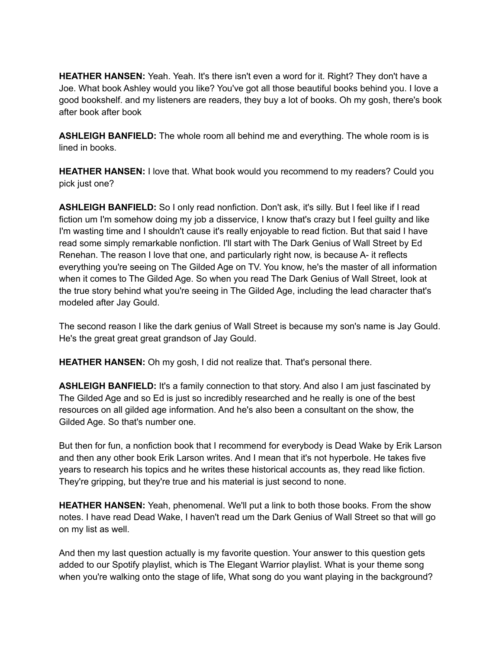**HEATHER HANSEN:** Yeah. Yeah. It's there isn't even a word for it. Right? They don't have a Joe. What book Ashley would you like? You've got all those beautiful books behind you. I love a good bookshelf. and my listeners are readers, they buy a lot of books. Oh my gosh, there's book after book after book

**ASHLEIGH BANFIELD:** The whole room all behind me and everything. The whole room is is lined in books.

**HEATHER HANSEN:** I love that. What book would you recommend to my readers? Could you pick just one?

**ASHLEIGH BANFIELD:** So I only read nonfiction. Don't ask, it's silly. But I feel like if I read fiction um I'm somehow doing my job a disservice, I know that's crazy but I feel guilty and like I'm wasting time and I shouldn't cause it's really enjoyable to read fiction. But that said I have read some simply remarkable nonfiction. I'll start with The Dark Genius of Wall Street by Ed Renehan. The reason I love that one, and particularly right now, is because A- it reflects everything you're seeing on The Gilded Age on TV. You know, he's the master of all information when it comes to The Gilded Age. So when you read The Dark Genius of Wall Street, look at the true story behind what you're seeing in The Gilded Age, including the lead character that's modeled after Jay Gould.

The second reason I like the dark genius of Wall Street is because my son's name is Jay Gould. He's the great great great grandson of Jay Gould.

**HEATHER HANSEN:** Oh my gosh, I did not realize that. That's personal there.

**ASHLEIGH BANFIELD:** It's a family connection to that story. And also I am just fascinated by The Gilded Age and so Ed is just so incredibly researched and he really is one of the best resources on all gilded age information. And he's also been a consultant on the show, the Gilded Age. So that's number one.

But then for fun, a nonfiction book that I recommend for everybody is Dead Wake by Erik Larson and then any other book Erik Larson writes. And I mean that it's not hyperbole. He takes five years to research his topics and he writes these historical accounts as, they read like fiction. They're gripping, but they're true and his material is just second to none.

**HEATHER HANSEN:** Yeah, phenomenal. We'll put a link to both those books. From the show notes. I have read Dead Wake, I haven't read um the Dark Genius of Wall Street so that will go on my list as well.

And then my last question actually is my favorite question. Your answer to this question gets added to our Spotify playlist, which is The Elegant Warrior playlist. What is your theme song when you're walking onto the stage of life, What song do you want playing in the background?